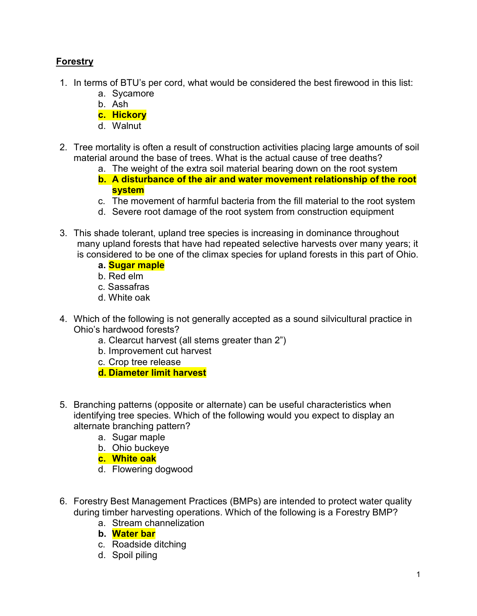## Forestry

- 1. In terms of BTU's per cord, what would be considered the best firewood in this list:
	- a. Sycamore
	- b. Ash
	- c. Hickory
	- d. Walnut
- 2. Tree mortality is often a result of construction activities placing large amounts of soil material around the base of trees. What is the actual cause of tree deaths?
	- a. The weight of the extra soil material bearing down on the root system
	- b. A disturbance of the air and water movement relationship of the root system
	- c. The movement of harmful bacteria from the fill material to the root system
	- d. Severe root damage of the root system from construction equipment
- 3. This shade tolerant, upland tree species is increasing in dominance throughout many upland forests that have had repeated selective harvests over many years; it is considered to be one of the climax species for upland forests in this part of Ohio.
	- a. Sugar maple
	- b. Red elm
	- c. Sassafras
	- d. White oak
- 4. Which of the following is not generally accepted as a sound silvicultural practice in Ohio's hardwood forests?
	- a. Clearcut harvest (all stems greater than 2")
	- b. Improvement cut harvest
	- c. Crop tree release
	- d. Diameter limit harvest
- 5. Branching patterns (opposite or alternate) can be useful characteristics when identifying tree species. Which of the following would you expect to display an alternate branching pattern?
	- a. Sugar maple
	- b. Ohio buckeye
	- c. White oak
	- d. Flowering dogwood
- 6. Forestry Best Management Practices (BMPs) are intended to protect water quality during timber harvesting operations. Which of the following is a Forestry BMP?
	- a. Stream channelization
	- b. Water bar
	- c. Roadside ditching
	- d. Spoil piling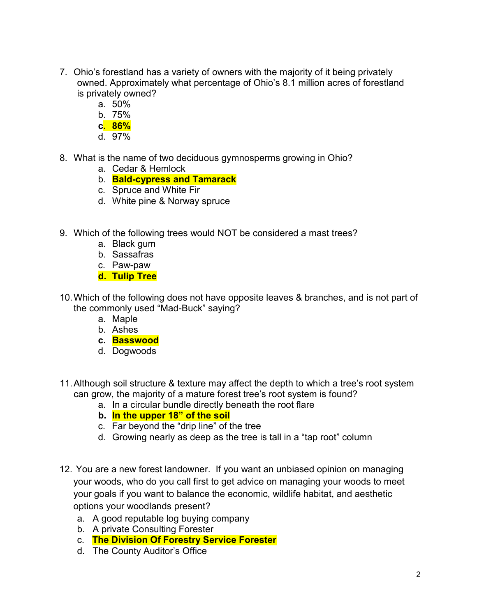- 7. Ohio's forestland has a variety of owners with the majority of it being privately owned. Approximately what percentage of Ohio's 8.1 million acres of forestland is privately owned?
	- a. 50%
	- b. 75%
	- c. 86%
	- d. 97%
- 8. What is the name of two deciduous gymnosperms growing in Ohio?
	- a. Cedar & Hemlock
	- b. Bald-cypress and Tamarack
	- c. Spruce and White Fir
	- d. White pine & Norway spruce
- 9. Which of the following trees would NOT be considered a mast trees?
	- a. Black gum
	- b. Sassafras
	- c. Paw-paw
	- d. Tulip Tree
- 10. Which of the following does not have opposite leaves & branches, and is not part of the commonly used "Mad-Buck" saying?
	- a. Maple
	- b. Ashes
	- c. Basswood
	- d. Dogwoods
- 11. Although soil structure & texture may affect the depth to which a tree's root system can grow, the majority of a mature forest tree's root system is found?
	- a. In a circular bundle directly beneath the root flare
	- b. In the upper 18" of the soil
	- c. Far beyond the "drip line" of the tree
	- d. Growing nearly as deep as the tree is tall in a "tap root" column
- 12. You are a new forest landowner. If you want an unbiased opinion on managing your woods, who do you call first to get advice on managing your woods to meet your goals if you want to balance the economic, wildlife habitat, and aesthetic options your woodlands present?
	- a. A good reputable log buying company
	- b. A private Consulting Forester
	- c. The Division Of Forestry Service Forester
	- d. The County Auditor's Office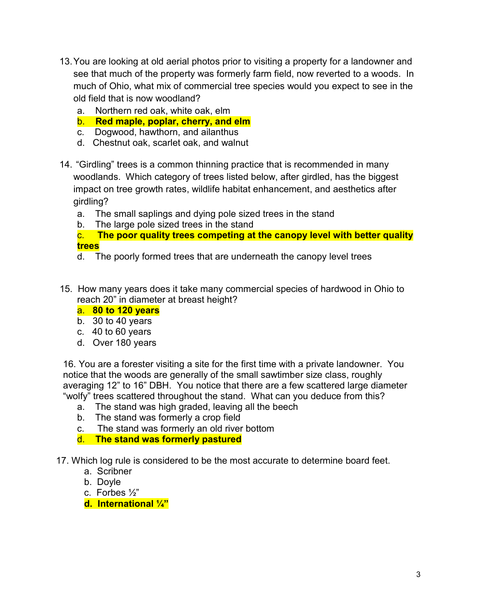- 13. You are looking at old aerial photos prior to visiting a property for a landowner and see that much of the property was formerly farm field, now reverted to a woods. In much of Ohio, what mix of commercial tree species would you expect to see in the old field that is now woodland?
	- a. Northern red oak, white oak, elm
	- b. Red maple, poplar, cherry, and elm
	- c. Dogwood, hawthorn, and ailanthus
	- d. Chestnut oak, scarlet oak, and walnut
- 14. "Girdling" trees is a common thinning practice that is recommended in many woodlands. Which category of trees listed below, after girdled, has the biggest impact on tree growth rates, wildlife habitat enhancement, and aesthetics after girdling?
	- a. The small saplings and dying pole sized trees in the stand
	- b. The large pole sized trees in the stand
	- c. The poor quality trees competing at the canopy level with better quality trees
	- d. The poorly formed trees that are underneath the canopy level trees
- 15. How many years does it take many commercial species of hardwood in Ohio to reach 20" in diameter at breast height?
	- a. 80 to 120 years
	- b. 30 to 40 years
	- c. 40 to 60 years
	- d. Over 180 years

16. You are a forester visiting a site for the first time with a private landowner. You notice that the woods are generally of the small sawtimber size class, roughly averaging 12" to 16" DBH. You notice that there are a few scattered large diameter "wolfy" trees scattered throughout the stand. What can you deduce from this?

- a. The stand was high graded, leaving all the beech
- b. The stand was formerly a crop field
- c. The stand was formerly an old river bottom
- d. The stand was formerly pastured

17. Which log rule is considered to be the most accurate to determine board feet.

- a. Scribner
- b. Doyle
- c. Forbes ½"
- d. International ¼"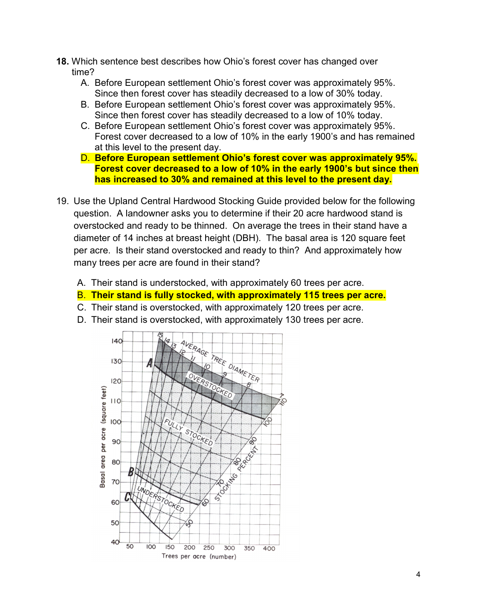- 18. Which sentence best describes how Ohio's forest cover has changed over time?
	- A. Before European settlement Ohio's forest cover was approximately 95%. Since then forest cover has steadily decreased to a low of 30% today.
	- B. Before European settlement Ohio's forest cover was approximately 95%. Since then forest cover has steadily decreased to a low of 10% today.
	- C. Before European settlement Ohio's forest cover was approximately 95%. Forest cover decreased to a low of 10% in the early 1900's and has remained at this level to the present day.
	- D. Before European settlement Ohio's forest cover was approximately 95%. Forest cover decreased to a low of 10% in the early 1900's but since then has increased to 30% and remained at this level to the present day.
- 19. Use the Upland Central Hardwood Stocking Guide provided below for the following question. A landowner asks you to determine if their 20 acre hardwood stand is overstocked and ready to be thinned. On average the trees in their stand have a diameter of 14 inches at breast height (DBH). The basal area is 120 square feet per acre. Is their stand overstocked and ready to thin? And approximately how many trees per acre are found in their stand?
	- A. Their stand is understocked, with approximately 60 trees per acre.
	- B. Their stand is fully stocked, with approximately 115 trees per acre.
	- C. Their stand is overstocked, with approximately 120 trees per acre.
	- D. Their stand is overstocked, with approximately 130 trees per acre.